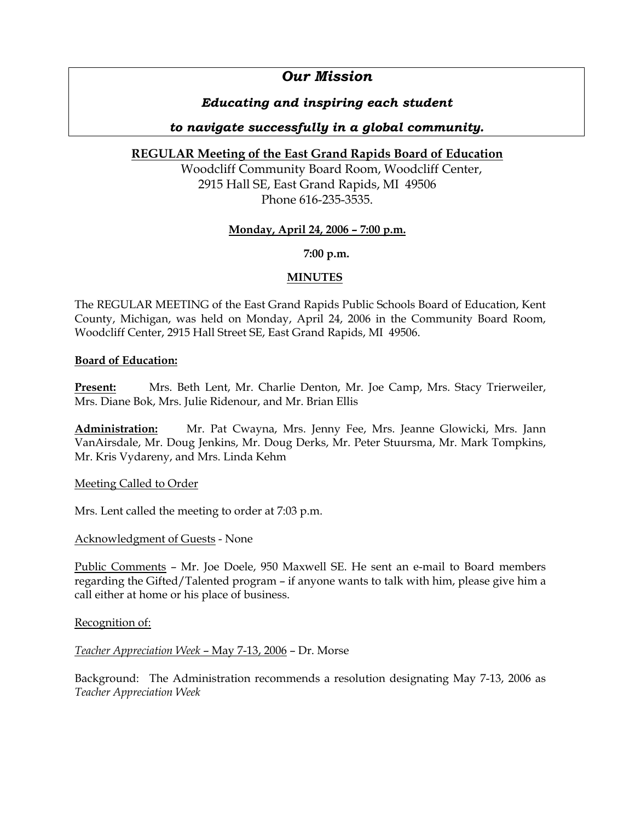# *Our Mission*

## *Educating and inspiring each student*

## *to navigate successfully in a global community.*

## **REGULAR Meeting of the East Grand Rapids Board of Education**

Woodcliff Community Board Room, Woodcliff Center, 2915 Hall SE, East Grand Rapids, MI 49506 Phone 616-235-3535.

## **Monday, April 24, 2006 – 7:00 p.m.**

**7:00 p.m.**

## **MINUTES**

The REGULAR MEETING of the East Grand Rapids Public Schools Board of Education, Kent County, Michigan, was held on Monday, April 24, 2006 in the Community Board Room, Woodcliff Center, 2915 Hall Street SE, East Grand Rapids, MI 49506.

## **Board of Education:**

**Present:** Mrs. Beth Lent, Mr. Charlie Denton, Mr. Joe Camp, Mrs. Stacy Trierweiler, Mrs. Diane Bok, Mrs. Julie Ridenour, and Mr. Brian Ellis

**Administration:** Mr. Pat Cwayna, Mrs. Jenny Fee, Mrs. Jeanne Glowicki, Mrs. Jann VanAirsdale, Mr. Doug Jenkins, Mr. Doug Derks, Mr. Peter Stuursma, Mr. Mark Tompkins, Mr. Kris Vydareny, and Mrs. Linda Kehm

Meeting Called to Order

Mrs. Lent called the meeting to order at 7:03 p.m.

## Acknowledgment of Guests - None

Public Comments – Mr. Joe Doele, 950 Maxwell SE. He sent an e-mail to Board members regarding the Gifted/Talented program – if anyone wants to talk with him, please give him a call either at home or his place of business.

Recognition of:

## *Teacher Appreciation Week* – May 7-13, 2006 – Dr. Morse

Background: The Administration recommends a resolution designating May 7-13, 2006 as *Teacher Appreciation Week*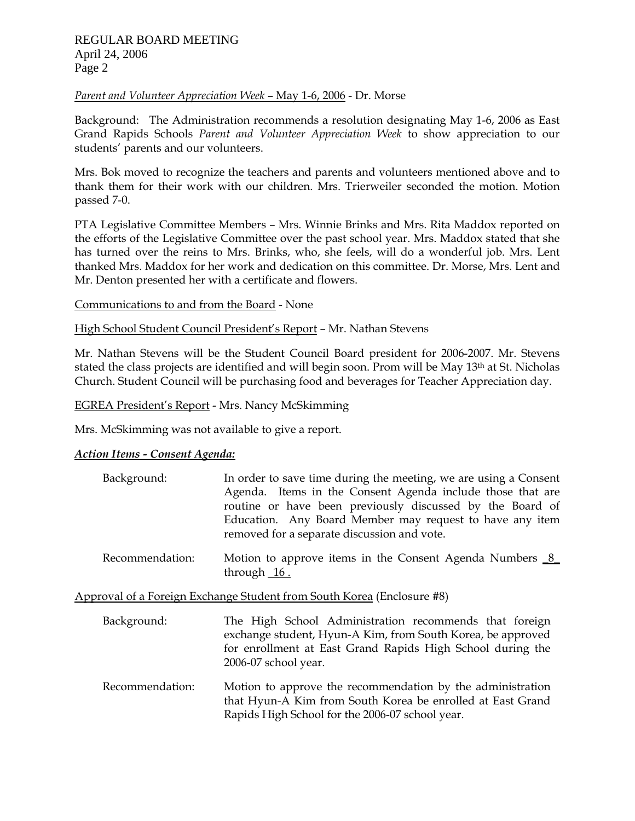### *Parent and Volunteer Appreciation Week* – May 1-6, 2006 - Dr. Morse

Background: The Administration recommends a resolution designating May 1-6, 2006 as East Grand Rapids Schools *Parent and Volunteer Appreciation Week* to show appreciation to our students' parents and our volunteers.

Mrs. Bok moved to recognize the teachers and parents and volunteers mentioned above and to thank them for their work with our children. Mrs. Trierweiler seconded the motion. Motion passed 7-0.

PTA Legislative Committee Members – Mrs. Winnie Brinks and Mrs. Rita Maddox reported on the efforts of the Legislative Committee over the past school year. Mrs. Maddox stated that she has turned over the reins to Mrs. Brinks, who, she feels, will do a wonderful job. Mrs. Lent thanked Mrs. Maddox for her work and dedication on this committee. Dr. Morse, Mrs. Lent and Mr. Denton presented her with a certificate and flowers.

Communications to and from the Board - None

High School Student Council President's Report – Mr. Nathan Stevens

Mr. Nathan Stevens will be the Student Council Board president for 2006-2007. Mr. Stevens stated the class projects are identified and will begin soon. Prom will be May 13<sup>th</sup> at St. Nicholas Church. Student Council will be purchasing food and beverages for Teacher Appreciation day.

EGREA President's Report - Mrs. Nancy McSkimming

Mrs. McSkimming was not available to give a report.

#### *Action Items - Consent Agenda:*

| Background: | In order to save time during the meeting, we are using a Consent |
|-------------|------------------------------------------------------------------|
|             | Agenda. Items in the Consent Agenda include those that are       |
|             | routine or have been previously discussed by the Board of        |
|             | Education. Any Board Member may request to have any item         |
|             | removed for a separate discussion and vote.                      |

Recommendation: Motion to approve items in the Consent Agenda Numbers 8 through  $16$ .

Approval of a Foreign Exchange Student from South Korea (Enclosure #8)

- Background: The High School Administration recommends that foreign exchange student, Hyun-A Kim, from South Korea, be approved for enrollment at East Grand Rapids High School during the 2006-07 school year.
- Recommendation: Motion to approve the recommendation by the administration that Hyun-A Kim from South Korea be enrolled at East Grand Rapids High School for the 2006-07 school year.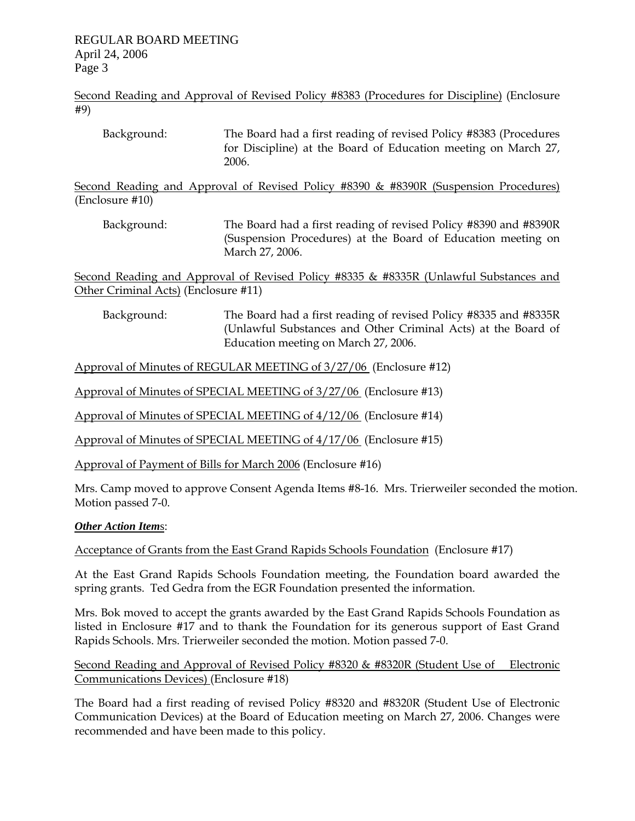Second Reading and Approval of Revised Policy #8383 (Procedures for Discipline) (Enclosure #9)

| Background: | The Board had a first reading of revised Policy #8383 (Procedures |
|-------------|-------------------------------------------------------------------|
|             | for Discipline) at the Board of Education meeting on March 27,    |
|             | 2006.                                                             |

Second Reading and Approval of Revised Policy #8390 & #8390R (Suspension Procedures) (Enclosure #10)

 Background: The Board had a first reading of revised Policy #8390 and #8390R (Suspension Procedures) at the Board of Education meeting on March 27, 2006.

Second Reading and Approval of Revised Policy #8335 & #8335R (Unlawful Substances and Other Criminal Acts) (Enclosure #11)

 Background: The Board had a first reading of revised Policy #8335 and #8335R (Unlawful Substances and Other Criminal Acts) at the Board of Education meeting on March 27, 2006.

Approval of Minutes of REGULAR MEETING of 3/27/06 (Enclosure #12)

Approval of Minutes of SPECIAL MEETING of 3/27/06 (Enclosure #13)

Approval of Minutes of SPECIAL MEETING of 4/12/06 (Enclosure #14)

Approval of Minutes of SPECIAL MEETING of 4/17/06 (Enclosure #15)

Approval of Payment of Bills for March 2006 (Enclosure #16)

Mrs. Camp moved to approve Consent Agenda Items #8-16. Mrs. Trierweiler seconded the motion. Motion passed 7-0.

#### *Other Action Item*s:

Acceptance of Grants from the East Grand Rapids Schools Foundation (Enclosure #17)

At the East Grand Rapids Schools Foundation meeting, the Foundation board awarded the spring grants. Ted Gedra from the EGR Foundation presented the information.

Mrs. Bok moved to accept the grants awarded by the East Grand Rapids Schools Foundation as listed in Enclosure #17 and to thank the Foundation for its generous support of East Grand Rapids Schools. Mrs. Trierweiler seconded the motion. Motion passed 7-0.

Second Reading and Approval of Revised Policy #8320 & #8320R (Student Use of Electronic Communications Devices) (Enclosure #18)

The Board had a first reading of revised Policy #8320 and #8320R (Student Use of Electronic Communication Devices) at the Board of Education meeting on March 27, 2006. Changes were recommended and have been made to this policy.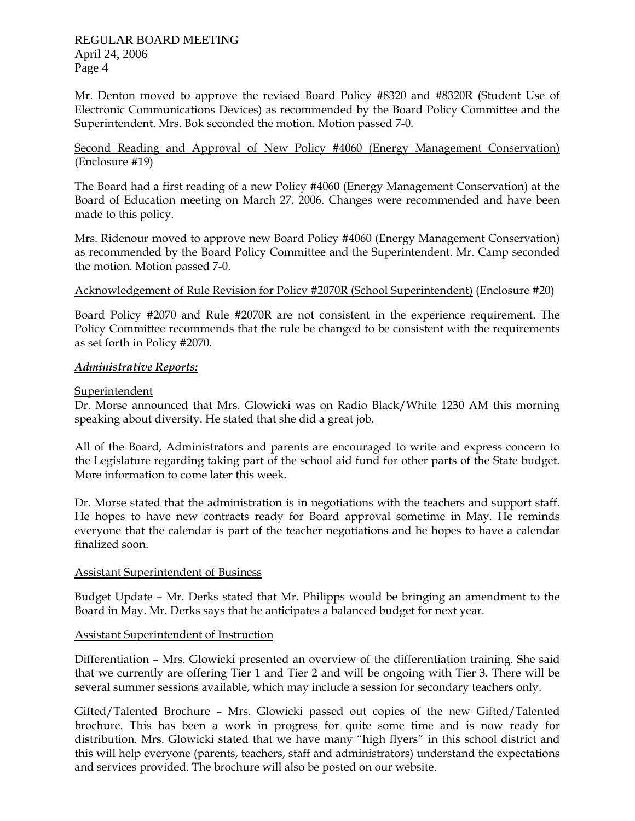Mr. Denton moved to approve the revised Board Policy #8320 and #8320R (Student Use of Electronic Communications Devices) as recommended by the Board Policy Committee and the Superintendent. Mrs. Bok seconded the motion. Motion passed 7-0.

Second Reading and Approval of New Policy #4060 (Energy Management Conservation) (Enclosure #19)

The Board had a first reading of a new Policy #4060 (Energy Management Conservation) at the Board of Education meeting on March 27, 2006. Changes were recommended and have been made to this policy.

Mrs. Ridenour moved to approve new Board Policy #4060 (Energy Management Conservation) as recommended by the Board Policy Committee and the Superintendent. Mr. Camp seconded the motion. Motion passed 7-0.

### Acknowledgement of Rule Revision for Policy #2070R (School Superintendent) (Enclosure #20)

Board Policy #2070 and Rule #2070R are not consistent in the experience requirement. The Policy Committee recommends that the rule be changed to be consistent with the requirements as set forth in Policy #2070.

#### *Administrative Reports:*

### Superintendent

Dr. Morse announced that Mrs. Glowicki was on Radio Black/White 1230 AM this morning speaking about diversity. He stated that she did a great job.

All of the Board, Administrators and parents are encouraged to write and express concern to the Legislature regarding taking part of the school aid fund for other parts of the State budget. More information to come later this week.

Dr. Morse stated that the administration is in negotiations with the teachers and support staff. He hopes to have new contracts ready for Board approval sometime in May. He reminds everyone that the calendar is part of the teacher negotiations and he hopes to have a calendar finalized soon.

#### Assistant Superintendent of Business

Budget Update – Mr. Derks stated that Mr. Philipps would be bringing an amendment to the Board in May. Mr. Derks says that he anticipates a balanced budget for next year.

## Assistant Superintendent of Instruction

Differentiation – Mrs. Glowicki presented an overview of the differentiation training. She said that we currently are offering Tier 1 and Tier 2 and will be ongoing with Tier 3. There will be several summer sessions available, which may include a session for secondary teachers only.

Gifted/Talented Brochure – Mrs. Glowicki passed out copies of the new Gifted/Talented brochure. This has been a work in progress for quite some time and is now ready for distribution. Mrs. Glowicki stated that we have many "high flyers" in this school district and this will help everyone (parents, teachers, staff and administrators) understand the expectations and services provided. The brochure will also be posted on our website.